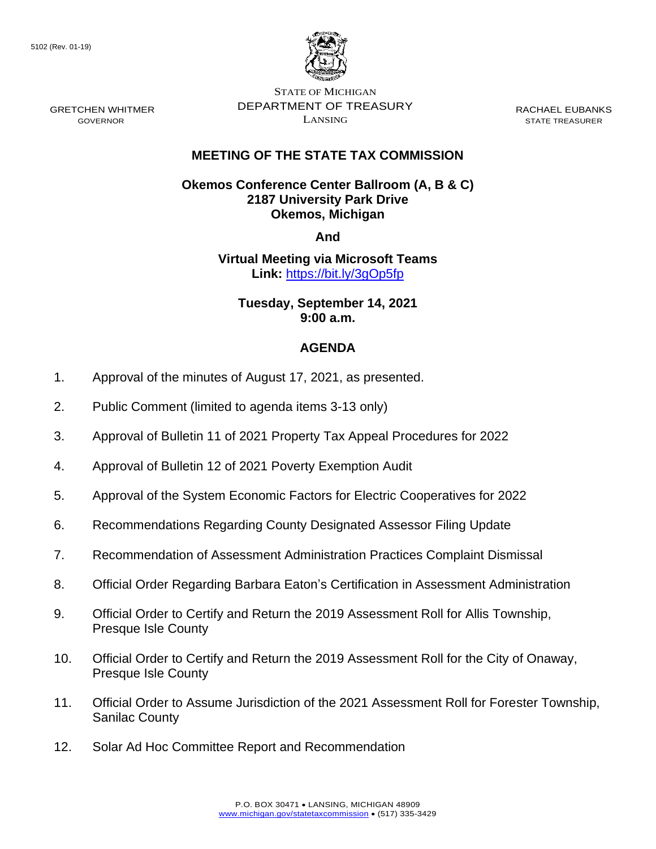GRETCHEN WHITMER GOVERNOR



STATE OF MICHIGAN DEPARTMENT OF TREASURY LANSING

RACHAEL EUBANKS STATE TREASURER

## **MEETING OF THE STATE TAX COMMISSION**

**Okemos Conference Center Ballroom (A, B & C) 2187 University Park Drive Okemos, Michigan**

**And**

**Virtual Meeting via Microsoft Teams Link:** [https://bit.ly/3gOp5fp](https://gcc02.safelinks.protection.outlook.com/?url=https%3A%2F%2Fbit.ly%2F3gOp5fp&data=04%7C01%7CDensteadtL%40michigan.gov%7C9c381a4ac7124f2dfede08d96d6c193a%7Cd5fb7087377742ad966a892ef47225d1%7C0%7C0%7C637661133322404669%7CUnknown%7CTWFpbGZsb3d8eyJWIjoiMC4wLjAwMDAiLCJQIjoiV2luMzIiLCJBTiI6Ik1haWwiLCJXVCI6Mn0%3D%7C1000&sdata=R3Wkd7SD9AMMs7fwFYMyjUJBZU3J3GknOKyohGe58V4%3D&reserved=0)

**Tuesday, September 14, 2021 9:00 a.m.**

## **AGENDA**

- 1. Approval of the minutes of August 17, 2021, as presented.
- 2. Public Comment (limited to agenda items 3-13 only)
- 3. Approval of Bulletin 11 of 2021 Property Tax Appeal Procedures for 2022
- 4. Approval of Bulletin 12 of 2021 Poverty Exemption Audit
- 5. Approval of the System Economic Factors for Electric Cooperatives for 2022
- 6. Recommendations Regarding County Designated Assessor Filing Update
- 7. Recommendation of Assessment Administration Practices Complaint Dismissal
- 8. Official Order Regarding Barbara Eaton's Certification in Assessment Administration
- 9. Official Order to Certify and Return the 2019 Assessment Roll for Allis Township, Presque Isle County
- 10. Official Order to Certify and Return the 2019 Assessment Roll for the City of Onaway, Presque Isle County
- 11. Official Order to Assume Jurisdiction of the 2021 Assessment Roll for Forester Township, Sanilac County
- 12. Solar Ad Hoc Committee Report and Recommendation